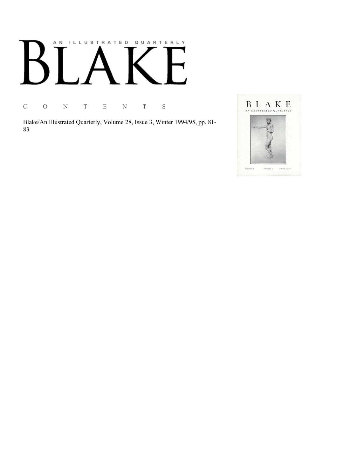# AN ILLUSTRATED QUARTERLY

C O N T E N T S

Blake/An Illustrated Quarterly, Volume 28, Issue 3, Winter 1994/95, pp. 81-83

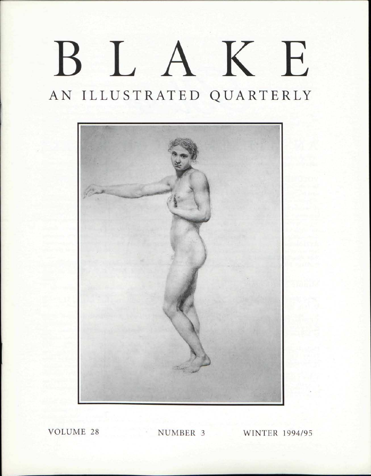## BLAK E AN ILLUSTRATED QUARTERLY



VOLUME 28 NUMBER 3 WINTER 1994/95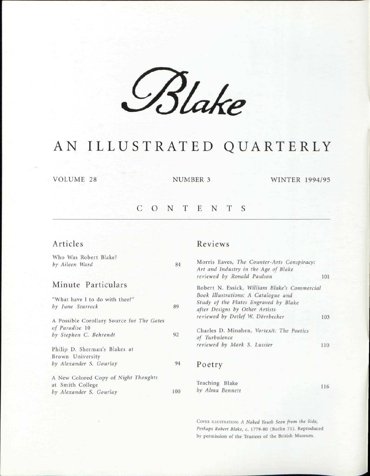*£%UB* 

### AN ILLUSTRATED QUARTERLY

VOLUME 28 NUMBER 3 WINTER 1994/95

#### CONTENT S

#### Articles

Who Was Robert Blake? *by Aileen War* 

#### Minute P

| "What have I to do with thee?"<br>by June Sturrock       | 89  |
|----------------------------------------------------------|-----|
| A Possible Corollary Source for The Gates                |     |
| of Paradise 10<br>by Stephen C. Behrendt                 | 92  |
| Philip D. Sherman's Blakes at<br>Brown University        |     |
| by Alexander S. Gourlay                                  | 94  |
| A New Colored Copy of Night Thoughts<br>at Smith College |     |
| by Alexander S. Gourlay                                  | 100 |

#### Reviews

| rd                           | 84  | Morris Eaves, The Counter-Arts Conspiracy:<br>Art and Industry in the Age of Blake                             |     |  |  |  |  |
|------------------------------|-----|----------------------------------------------------------------------------------------------------------------|-----|--|--|--|--|
|                              |     | reviewed by Ronald Paulson                                                                                     | 101 |  |  |  |  |
| articulars                   |     | Robert N. Essick, William Blake's Commercial                                                                   |     |  |  |  |  |
| to do with thee?"<br>rock    | 89  | Book Illustrations: A Catalogue and<br>Study of the Plates Engraved by Blake<br>after Designs by Other Artists |     |  |  |  |  |
| rollary Source for The Gates |     | reviewed by Detlef W. Dörrbecker                                                                               | 103 |  |  |  |  |
| Behrendt                     | 92  | Charles D. Minahen, Vortex/t: The Poetics<br>of Turbulence                                                     |     |  |  |  |  |
| rman's Blakes at<br>rsity    |     | reviewed by Mark S. Lussier                                                                                    | 110 |  |  |  |  |
| S. Gourlay                   | 94  | Poetry                                                                                                         |     |  |  |  |  |
| d Copy of Night Thoughts     |     |                                                                                                                |     |  |  |  |  |
| lege                         |     | Teaching Blake                                                                                                 | 116 |  |  |  |  |
| S. Gourlay                   | 100 | by Alma Bennett                                                                                                |     |  |  |  |  |

COVER ILLUSTRATION: *A Naked Youth Seen from the Side, Perhaps Robert Blake,* c. 1779-80 (Butlin 71). Reproduced by permission of the Trustees of the British Museum.